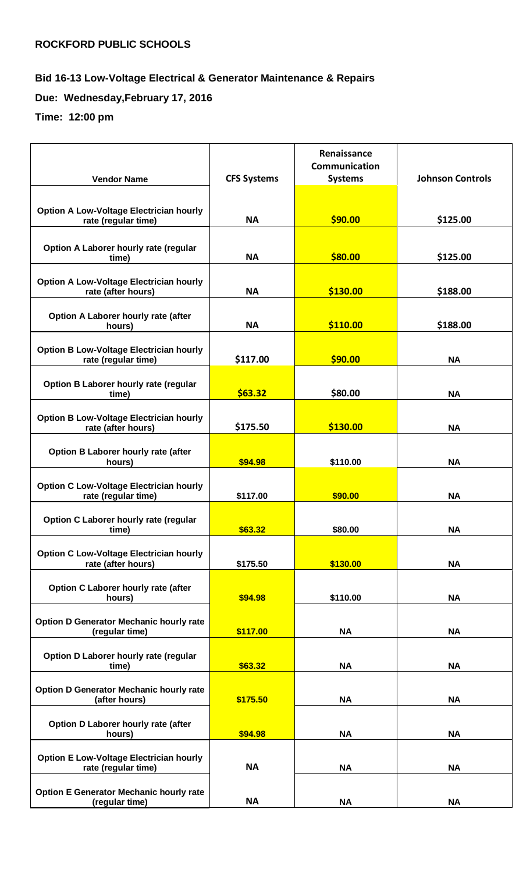## **Bid 16-13 Low-Voltage Electrical & Generator Maintenance & Repairs**

**Due: Wednesday,February 17, 2016**

**Time: 12:00 pm**

|                                                                       |                    | Renaissance<br><b>Communication</b> |                         |
|-----------------------------------------------------------------------|--------------------|-------------------------------------|-------------------------|
| <b>Vendor Name</b>                                                    | <b>CFS Systems</b> | <b>Systems</b>                      | <b>Johnson Controls</b> |
|                                                                       |                    |                                     |                         |
| <b>Option A Low-Voltage Electrician hourly</b><br>rate (regular time) | <b>NA</b>          | \$90.00                             | \$125.00                |
|                                                                       |                    |                                     |                         |
| Option A Laborer hourly rate (regular                                 |                    |                                     |                         |
| time)                                                                 | <b>NA</b>          | \$80.00                             | \$125.00                |
| <b>Option A Low-Voltage Electrician hourly</b><br>rate (after hours)  | <b>NA</b>          | \$130.00                            | \$188.00                |
|                                                                       |                    |                                     |                         |
| Option A Laborer hourly rate (after<br>hours)                         | <b>NA</b>          | \$110.00                            | \$188.00                |
|                                                                       |                    |                                     |                         |
| <b>Option B Low-Voltage Electrician hourly</b><br>rate (regular time) | \$117.00           | \$90.00                             | <b>NA</b>               |
| Option B Laborer hourly rate (regular                                 |                    |                                     |                         |
| time)                                                                 | \$63.32            | \$80.00                             | <b>NA</b>               |
| <b>Option B Low-Voltage Electrician hourly</b>                        |                    |                                     |                         |
| rate (after hours)                                                    | \$175.50           | \$130.00                            | <b>NA</b>               |
| Option B Laborer hourly rate (after                                   |                    |                                     |                         |
| hours)                                                                | \$94.98            | \$110.00                            | <b>NA</b>               |
| <b>Option C Low-Voltage Electrician hourly</b>                        |                    |                                     |                         |
| rate (regular time)                                                   | \$117.00           | \$90.00                             | <b>NA</b>               |
| Option C Laborer hourly rate (regular                                 |                    |                                     |                         |
| time)                                                                 | \$63.32            | \$80.00                             | <b>NA</b>               |
| <b>Option C Low-Voltage Electrician hourly</b>                        |                    |                                     |                         |
| rate (after hours)                                                    | \$175.50           | \$130.00                            | <b>NA</b>               |
| Option C Laborer hourly rate (after                                   |                    |                                     |                         |
| hours)                                                                | \$94.98            | \$110.00                            | <b>NA</b>               |
| <b>Option D Generator Mechanic hourly rate</b>                        |                    |                                     |                         |
| (regular time)                                                        | \$117.00           | <b>NA</b>                           | <b>NA</b>               |
| Option D Laborer hourly rate (regular<br>time)                        | \$63.32            | <b>NA</b>                           | <b>NA</b>               |
|                                                                       |                    |                                     |                         |
| <b>Option D Generator Mechanic hourly rate</b><br>(after hours)       | \$175.50           | <b>NA</b>                           | <b>NA</b>               |
|                                                                       |                    |                                     |                         |
| Option D Laborer hourly rate (after<br>hours)                         | \$94.98            | <b>NA</b>                           | <b>NA</b>               |
|                                                                       |                    |                                     |                         |
| <b>Option E Low-Voltage Electrician hourly</b><br>rate (regular time) | <b>NA</b>          | <b>NA</b>                           | <b>NA</b>               |
|                                                                       |                    |                                     |                         |
| <b>Option E Generator Mechanic hourly rate</b><br>(regular time)      | <b>NA</b>          | <b>NA</b>                           | <b>NA</b>               |